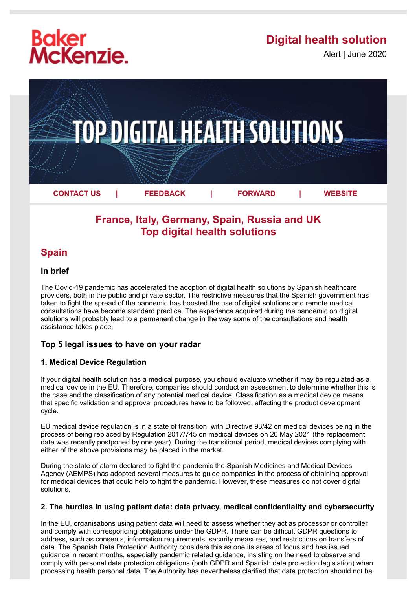# **Baker<br>McKenzie.**

# **Digital health solution**

Alert | June 2020



## **France, Italy, Germany, Spain, Russia and UK Top digital health solutions**

### **Spain**

#### **In brief**

The Covid-19 pandemic has accelerated the adoption of digital health solutions by Spanish healthcare providers, both in the public and private sector. The restrictive measures that the Spanish government has taken to fight the spread of the pandemic has boosted the use of digital solutions and remote medical consultations have become standard practice. The experience acquired during the pandemic on digital solutions will probably lead to a permanent change in the way some of the consultations and health assistance takes place.

#### **Top 5 legal issues to have on your radar**

#### **1. Medical Device Regulation**

If your digital health solution has a medical purpose, you should evaluate whether it may be regulated as a medical device in the EU. Therefore, companies should conduct an assessment to determine whether this is the case and the classification of any potential medical device. Classification as a medical device means that specific validation and approval procedures have to be followed, affecting the product development cycle.

EU medical device regulation is in a state of transition, with Directive 93/42 on medical devices being in the process of being replaced by Regulation 2017/745 on medical devices on 26 May 2021 (the replacement date was recently postponed by one year). During the transitional period, medical devices complying with either of the above provisions may be placed in the market.

During the state of alarm declared to fight the pandemic the Spanish Medicines and Medical Devices Agency (AEMPS) has adopted several measures to guide companies in the process of obtaining approval for medical devices that could help to fight the pandemic. However, these measures do not cover digital solutions.

#### **2. The hurdles in using patient data: data privacy, medical confidentiality and cybersecurity**

In the EU, organisations using patient data will need to assess whether they act as processor or controller and comply with corresponding obligations under the GDPR. There can be difficult GDPR questions to address, such as consents, information requirements, security measures, and restrictions on transfers of data. The Spanish Data Protection Authority considers this as one its areas of focus and has issued guidance in recent months, especially pandemic related guidance, insisting on the need to observe and comply with personal data protection obligations (both GDPR and Spanish data protection legislation) when processing health personal data. The Authority has nevertheless clarified that data protection should not be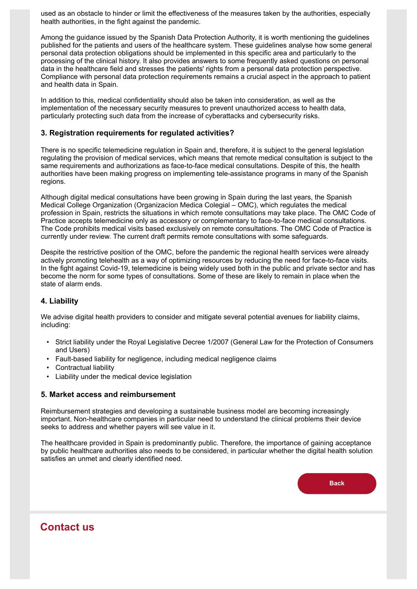used as an obstacle to hinder or limit the effectiveness of the measures taken by the authorities, especially health authorities, in the fight against the pandemic.

Among the guidance issued by the Spanish Data Protection Authority, it is worth mentioning the guidelines published for the patients and users of the healthcare system. These guidelines analyse how some general personal data protection obligations should be implemented in this specific area and particularly to the processing of the clinical history. It also provides answers to some frequently asked questions on personal data in the healthcare field and stresses the patients' rights from a personal data protection perspective. Compliance with personal data protection requirements remains a crucial aspect in the approach to patient and health data in Spain.

In addition to this, medical confidentiality should also be taken into consideration, as well as the implementation of the necessary security measures to prevent unauthorized access to health data, particularly protecting such data from the increase of cyberattacks and cybersecurity risks.

#### **3. Registration requirements for regulated activities?**

There is no specific telemedicine regulation in Spain and, therefore, it is subject to the general legislation regulating the provision of medical services, which means that remote medical consultation is subject to the same requirements and authorizations as face-to-face medical consultations. Despite of this, the health authorities have been making progress on implementing tele-assistance programs in many of the Spanish regions.

Although digital medical consultations have been growing in Spain during the last years, the Spanish Medical College Organization (Organizacíon Medica Colegial – OMC), which regulates the medical profession in Spain, restricts the situations in which remote consultations may take place. The OMC Code of Practice accepts telemedicine only as accessory or complementary to face-to-face medical consultations. The Code prohibits medical visits based exclusively on remote consultations. The OMC Code of Practice is currently under review. The current draft permits remote consultations with some safeguards.

Despite the restrictive position of the OMC, before the pandemic the regional health services were already actively promoting telehealth as a way of optimizing resources by reducing the need for face-to-face visits. In the fight against Covid-19, telemedicine is being widely used both in the public and private sector and has become the norm for some types of consultations. Some of these are likely to remain in place when the state of alarm ends.

#### **4. Liability**

We advise digital health providers to consider and mitigate several potential avenues for liability claims, including:

- Strict liability under the Royal Legislative Decree 1/2007 (General Law for the Protection of Consumers and Users)
- Fault-based liability for negligence, including medical negligence claims
- Contractual liability
- Liability under the medical device legislation

#### **5. Market access and reimbursement**

Reimbursement strategies and developing a sustainable business model are becoming increasingly important. Non-healthcare companies in particular need to understand the clinical problems their device seeks to address and whether payers will see value in it.

The healthcare provided in Spain is predominantly public. Therefore, the importance of gaining acceptance by public healthcare authorities also needs to be considered, in particular whether the digital health solution satisfies an unmet and clearly identified need.



## **Contact us**